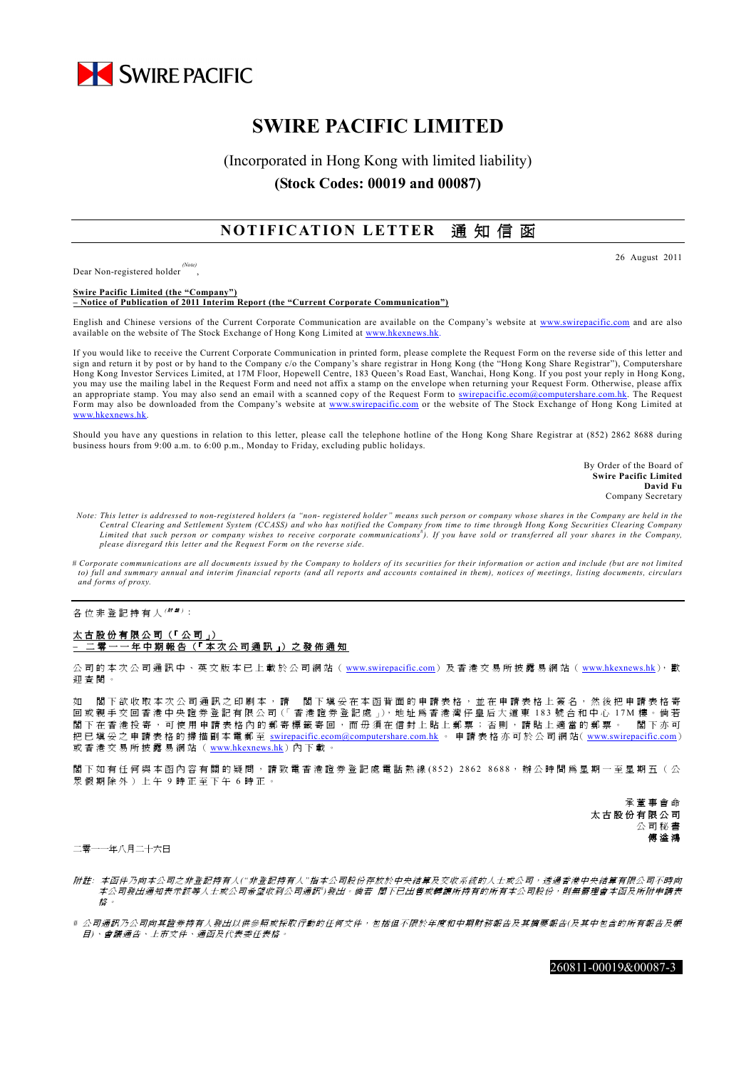

# **SWIRE PACIFIC LIMITED**

## (Incorporated in Hong Kong with limited liability) **(Stock Codes: 00019 and 00087)**

### **NOTIFICATION LETTER** 通 知 信 函

Dear Non-registered holder *(Note)*

,

**Swire Pacific Limited (the "Company") – Notice of Publication of 2011 Interim Report (the "Current Corporate Communication")**

English and Chinese versions of the Current Corporate Communication are available on the Company's website at www.swirepacific.com and are also available on the website of The Stock Exchange of Hong Kong Limited at www.hkexnews.hk

If you would like to receive the Current Corporate Communication in printed form, please complete the Request Form on the reverse side of this letter and sign and return it by post or by hand to the Company c/o the Company's share registrar in Hong Kong (the "Hong Kong Share Registrar"), Computershare Hong Kong Investor Services Limited, at 17M Floor, Hopewell Centre, 183 Queen's Road East, Wanchai, Hong Kong. If you post your reply in Hong Kong, you may use the mailing label in the Request Form and need not affix a stamp on the envelope when returning your Request Form. Otherwise, please affix an appropriate stamp. You may also send an email with a scanned copy of the Request Form to swirepacific.ecom@computershare.com.hk. The Request Form may also be downloaded from the Company's website at www.swirepacific.com or the website of The Stock Exchange of Hong Kong Limited at www.hkexnews.hk.

Should you have any questions in relation to this letter, please call the telephone hotline of the Hong Kong Share Registrar at (852) 2862 8688 during business hours from 9:00 a.m. to 6:00 p.m., Monday to Friday, excluding public holidays.

> By Order of the Board of **Swire Pacific Limited David Fu** Company Secretary

26 August 2011

- *Note: This letter is addressed to non-registered holders (a "non- registered holder" means such person or company whose shares in the Company are held in the*  Central Clearing and Settlement System (CCASS) and who has notified the Company from time to time through Hong Kong Securities Clearing Company<br>Limited that such person or company wishes to receive corporate communications *please disregard this letter and the Request Form on the reverse side.*
- *# Corporate communications are all documents issued by the Company to holders of its securities for their information or action and include (but are not limited to) full and summary annual and interim financial reports (and all reports and accounts contained in them), notices of meetings, listing documents, circulars and forms of proxy.*

各位非登記持有人 <sup>( \|| '#)</sup>:

#### 太 古 股 份 有 限 公 司 (「 公 司 」) **–** 二 零 一 一 年 中 期 報 告 (「 本 次 公 司 通 訊 」) 之 發 佈 通 知

公司的本次公司通訊中、英文版本已上載於公司網站( www.swirepacific.com)及香港交易所披露易網站( www.hkexnews.hk), 歡 迎查閱。

如 閣下欲收取本次公司通訊之印刷本,請 閣下填妥在本函背面的申請表格,並在申請表格上簽名,然後把申請表格寄 回 或 親 手 交 回 香 港 中 央 證 券 登 記 有 限 公 司(「香港證券登記處」),地址為香港灣仔皇后大道東 183 號合和中心 17M 樓。倘若 閣下在香港投寄,可使用申請表格內的郵寄標籤寄回,而毋須在信封上貼上郵票;否則,請貼上適當的郵票。 閣下亦可 把已填妥之申請表格的掃描副本電郵至 swirepacific.ecom@computershare.com.hk 。 申請表格亦可於公司網站( www.swirepacific.com) 或香港交易所披露易網站(www.hkexnews.hk)內下載

閣下如有任何與本函內容有關的疑問,請致電香港證券登記處電話熱線 (852) 2862 8688,辦公時間為星期一至星期五(公 眾假期除外)上午 9 時正至下午 6 時正。

> 承董事會命 太 古 股 份 有 限 公 司 公司秘書 傅 溢 鴻

二零一一年八月二十六日

- 附 註*:* 本函件乃向本公司之非登記持有人*("*非登記持有人*"*指本公司股份存放於中央結算及交收系統的人士或公司,透過香港中央結算有限公司不時向 本公司發出通知表示該等人士或公司希望收到公司通訊")發出。倘若 閣下已出售或轉讓所持有的所有本公司股份,則無需理會本函及所附申請表 枚 。
- *#* 公司通訊乃公司向其證券持有人發出以供參照或採取行動的任何文件,包括但不限於年度和中期財務報告及其摘要報告*(*及其中包含的所有報告及帳 目*)*、會議通告、上市文件、通函及代表委任表格。

260811-00019&00087-3